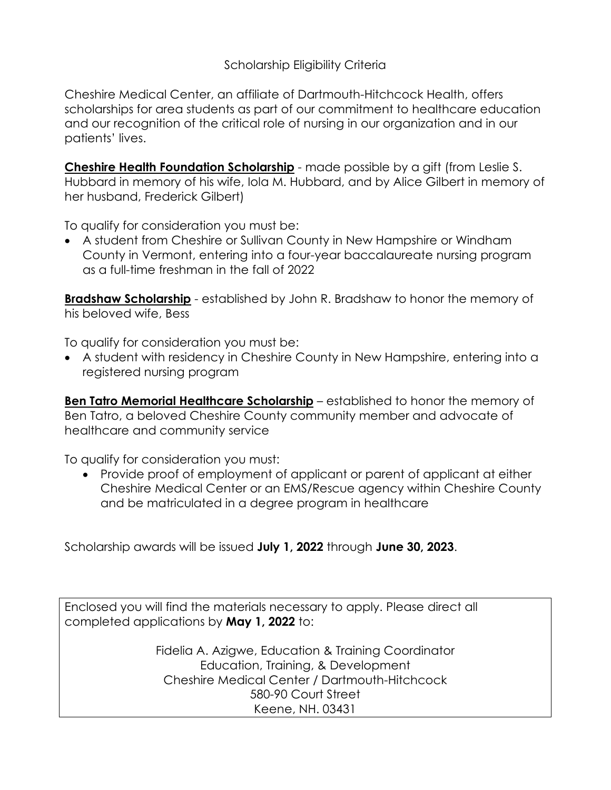Cheshire Medical Center, an affiliate of Dartmouth-Hitchcock Health, offers scholarships for area students as part of our commitment to healthcare education and our recognition of the critical role of nursing in our organization and in our patients' lives.

**Cheshire Health Foundation Scholarship** - made possible by a gift (from Leslie S. Hubbard in memory of his wife, Iola M. Hubbard, and by Alice Gilbert in memory of her husband, Frederick Gilbert)

To qualify for consideration you must be:

• A student from Cheshire or Sullivan County in New Hampshire or Windham County in Vermont, entering into a four-year baccalaureate nursing program as a full-time freshman in the fall of 2022

**Bradshaw Scholarship** - established by John R. Bradshaw to honor the memory of his beloved wife, Bess

To qualify for consideration you must be:

• A student with residency in Cheshire County in New Hampshire, entering into a registered nursing program

**Ben Tatro Memorial Healthcare Scholarship** – established to honor the memory of Ben Tatro, a beloved Cheshire County community member and advocate of healthcare and community service

To qualify for consideration you must:

• Provide proof of employment of applicant or parent of applicant at either Cheshire Medical Center or an EMS/Rescue agency within Cheshire County and be matriculated in a degree program in healthcare

Scholarship awards will be issued **July 1, 2022** through **June 30, 2023**.

Enclosed you will find the materials necessary to apply. Please direct all completed applications by **May 1, 2022** to:

> Fidelia A. Azigwe, Education & Training Coordinator Education, Training, & Development Cheshire Medical Center / Dartmouth-Hitchcock 580-90 Court Street Keene, NH. 03431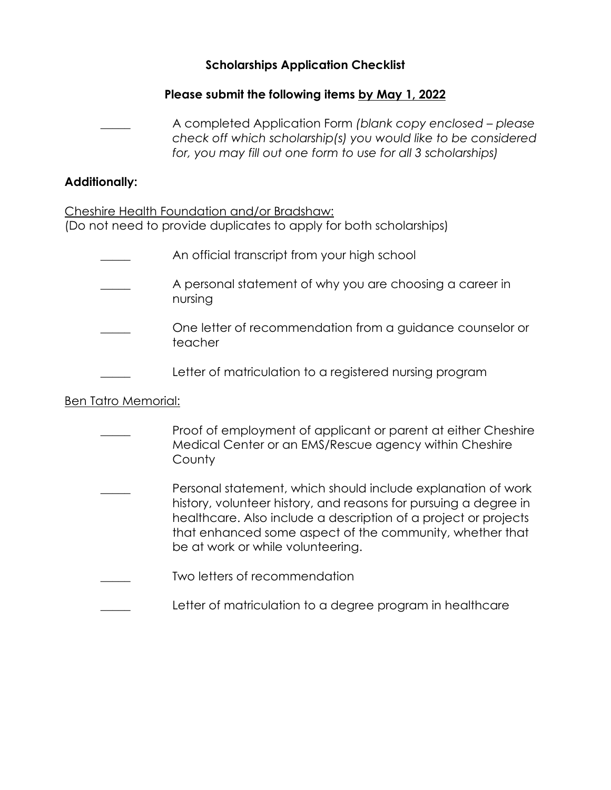#### **Scholarships Application Checklist**

## **Please submit the following items by May 1, 2022**

\_\_\_\_\_ A completed Application Form *(blank copy enclosed – please check off which scholarship(s) you would like to be considered for, you may fill out one form to use for all 3 scholarships)*

#### **Additionally:**

Cheshire Health Foundation and/or Bradshaw: (Do not need to provide duplicates to apply for both scholarships)

- An official transcript from your high school
- A personal statement of why you are choosing a career in nursing
- One letter of recommendation from a guidance counselor or teacher
- Letter of matriculation to a registered nursing program

## Ben Tatro Memorial:

| Proof of employment of applicant or parent at either Cheshire<br>Medical Center or an EMS/Rescue agency within Cheshire<br>County                                                                                                                                                                    |
|------------------------------------------------------------------------------------------------------------------------------------------------------------------------------------------------------------------------------------------------------------------------------------------------------|
| Personal statement, which should include explanation of work<br>history, volunteer history, and reasons for pursuing a degree in<br>healthcare. Also include a description of a project or projects<br>that enhanced some aspect of the community, whether that<br>be at work or while volunteering. |
| Two letters of recommendation                                                                                                                                                                                                                                                                        |
| Letter of matriculation to a degree program in healthcare                                                                                                                                                                                                                                            |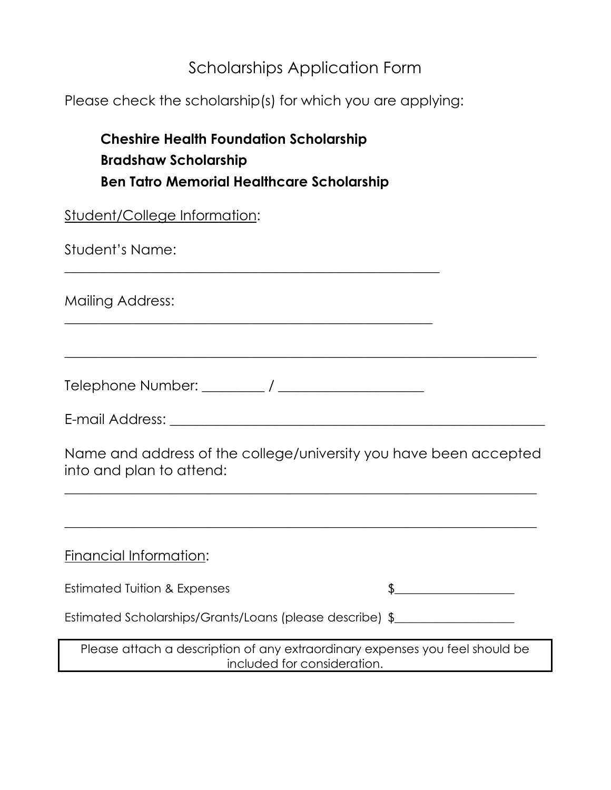# Scholarships Application Form

Please check the scholarship(s) for which you are applying:

| <b>Cheshire Health Foundation Scholarship</b><br><b>Bradshaw Scholarship</b><br><b>Ben Tatro Memorial Healthcare Scholarship</b> |  |
|----------------------------------------------------------------------------------------------------------------------------------|--|
| <b>Student/College Information:</b>                                                                                              |  |
| Student's Name:                                                                                                                  |  |
| Mailing Address:                                                                                                                 |  |
|                                                                                                                                  |  |
|                                                                                                                                  |  |
| Name and address of the college/university you have been accepted<br>into and plan to attend:                                    |  |
|                                                                                                                                  |  |
| Financial Information:                                                                                                           |  |
| <b>Estimated Tuition &amp; Expenses</b>                                                                                          |  |
| Estimated Scholarships/Grants/Loans (please describe) \$                                                                         |  |
| Please attach a description of any extraordinary expenses you feel should be<br>included for consideration.                      |  |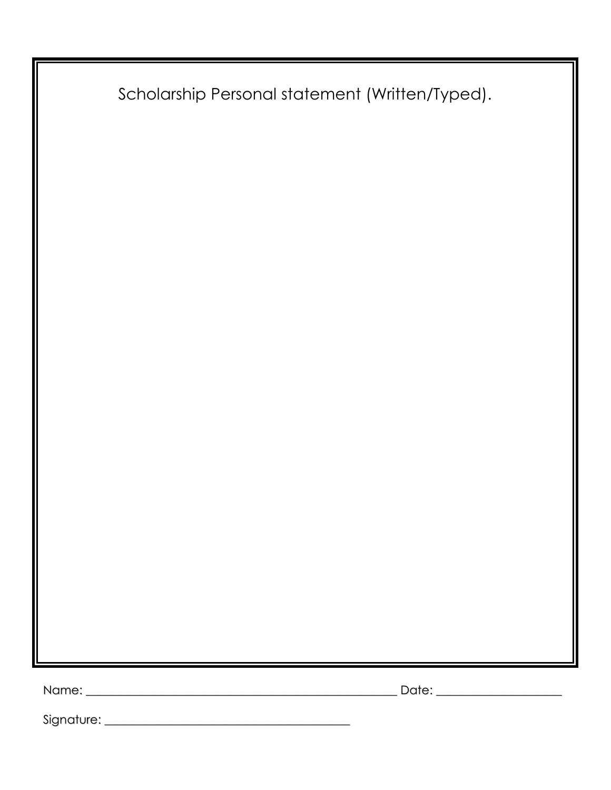|  | Scholarship Personal statement (Written/Typed). |  |  |  |  |
|--|-------------------------------------------------|--|--|--|--|
|--|-------------------------------------------------|--|--|--|--|

Name: \_\_\_\_\_\_\_\_\_\_\_\_\_\_\_\_\_\_\_\_\_\_\_\_\_\_\_\_\_\_\_\_\_\_\_\_\_\_\_\_\_\_\_\_\_\_\_\_\_\_\_\_ Date: \_\_\_\_\_\_\_\_\_\_\_\_\_\_\_\_\_\_\_\_\_

Signature: \_\_\_\_\_\_\_\_\_\_\_\_\_\_\_\_\_\_\_\_\_\_\_\_\_\_\_\_\_\_\_\_\_\_\_\_\_\_\_\_\_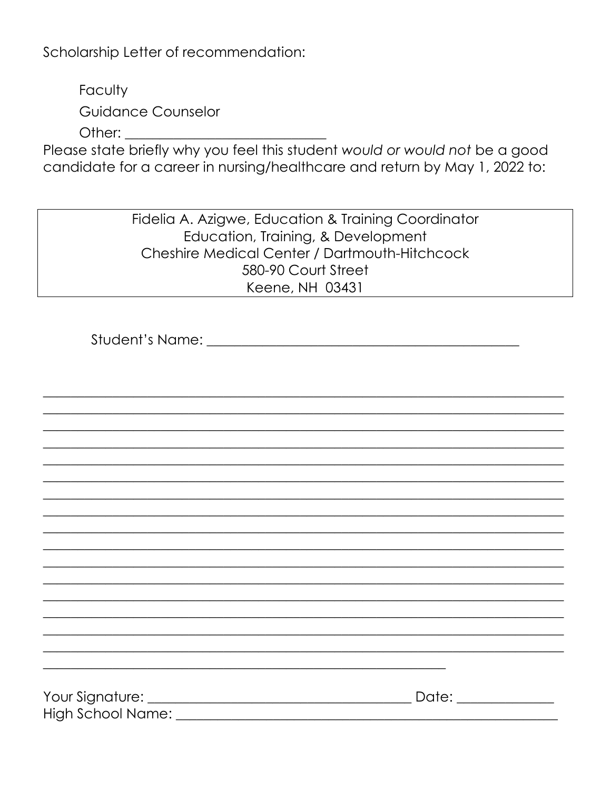Scholarship Letter of recommendation:

Faculty **Guidance Counselor** Other: will be a series of the series of the series of the series of the series of the series of the series of the series of the series of the series of the series of the series of the series of the series of the series of

Please state briefly why you feel this student would or would not be a good candidate for a career in nursing/healthcare and return by May 1, 2022 to:

> Fidelia A. Azigwe, Education & Training Coordinator Education, Training, & Development Cheshire Medical Center / Dartmouth-Hitchcock 580-90 Court Street Keene, NH 03431